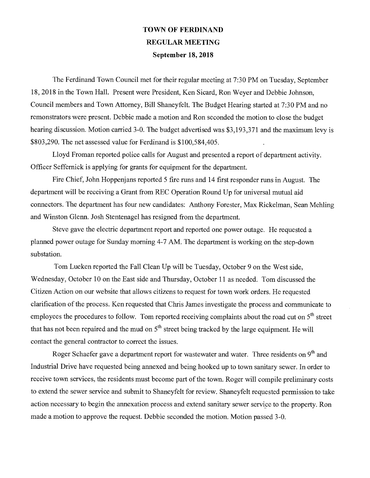## TOWN OF FERDINAND REGULAR MEETING September 18, 2018

The Ferdinand Town Council met for their regular meeting at 7:30 PM on Tuesday, September 18, 2018 in the Town Hall. Present were President, Ken Sicard, Ron Weyer and Debbie Johnson, Council members and Town Attomey, Bill Shaneyfelt. The Budget Hearing started at 7:30 PM and no remonstrators were present. Debbie made a motion and Ron seconded the motion to close the budget hearing discussion. Motion carried 3-0. The budget advertised was \$3,193,371 and the maximum levy is \$803,290. The net assessed value for Ferdinand is \$100,584,405.

Lloyd Froman reported police calls for August and presented a report of department activity. Officer Seffemick is applying for grants for equipment for the department.

Fire Chief, John Hoppenjans reported 5 fire runs and 14 first responder runs in August. The department will be receiving a Grant from REC Operation Round Up for universal mutual aid connectors. The department has four new candidates: Anthony Forester, Max Rickelman, Sean Mehling and Winston Glenn. Josh Stentenagel has resigned from the department.

Steve gave the electric department report and reported one power outage. He requested a plarmed power outage for Sunday moming 4-7 AM. The department is working on the step-down substation.

Tom Lueken reported the Fall Clean Up will be Tuesday, October 9 on the West side, Wednesday, October 10 on the East side and Thursday, October 11 as needed. Tom discussed the Citizen Action on our website that allows citizens to request for town work orders. He requested clarification of the process. Ken requested that Chris James investigate the process and communicate to employees the procedures to follow. Tom reported receiving complaints about the road cut on  $5<sup>th</sup>$  street that has not been repaired and the mud on  $5<sup>th</sup>$  street being tracked by the large equipment. He will contact the general contractor to correct the issues.

Roger Schaefer gave a department report for wastewater and water. Three residents on  $9<sup>th</sup>$  and Industrial Drive have requested being annexed and being hooked up to town sanitary sewer. In order to receive town services, the residents must become part of the town. Roger will compile preliminary costs to extend the sewer service and submit to Shaneyfelt for review. Shaneyfelt requested permission to take action necessary to begin the annexation process and extend sanitary sewer service to the property. Ron made a motion to approve the request. Debbie seconded the motion. Motion passed 3-0.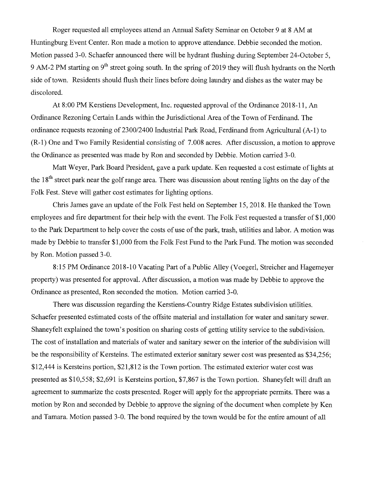Roger requested all employees attend an Annual Safety Seminar on October 9 at 8 AM at Huntingburg Event Center. Ron made a motion to approve attendance. Debbie seconded the motion. Motion passed 3-0. Schaefer announced there will be hydrant flushing during September 24-October 5, 9 AM-2 PM starting on  $9<sup>th</sup>$  street going south. In the spring of 2019 they will flush hydrants on the North side of town. Residents should flush their lines before doing laundry and dishes as the water may be discolored.

At 8:00 PM Kerstiens Development, Inc. requested approval of the Ordinance 2018-11, An Ordinance Rezoning Certain Lands within the Jurisdictional Area of the Town of Ferdinand. The ordinance requests rezoning of 2300/2400 Industrial Park Road, Ferdinand from Agricultural (A-1) to (R-1) One and Two Family Residential consisting of 7.008 acres. After discussion, a motion to approve the Ordinance as presented was made by Ron and seconded by Debbie. Motion carried 3-0.

Matt Weyer, Park Board President, gave a park update. Ken requested a cost estimate of lights at the 18<sup>th</sup> street park near the golf range area. There was discussion about renting lights on the day of the Folk Fest. Steve will gather cost estimates for lighting options.

Chris James gave an update of the Folk Fest held on September 15, 2018. He thanked the Town employees and fire department for their help with the event. The Folk Fest requested a transfer of \$1,000 to the Park Department to help cover the costs of use of the park, trash, utilities and labor. A motion was made by Debbie to transfer \$1,000 from the Folk Fest Fund to the Park Fund. The motion was seconded by Ron. Motion passed 3-0.

8:15 PM Ordinance 2018-10 Vacating Part of a Public Alley (Voegerl, Streicher and Hagemeyer property) was presented for approval. After discussion, a motion was made by Debbie to approve the Ordinance as presented, Ron seconded the motion. Motion carried 3-0.

There was discussion regarding the Kerstiens-Country Ridge Estates subdivision utilities. Schaefer presented estimated costs of the offsite material and installation for water and sanitary sewer. Shaneyfelt explained the town's position on sharing costs of getting utility service to the subdivision. The cost of installation and materials of water and sanitary sewer on the interior of the subdivision will be the responsibility of Kersteins. The estimated exterior sanitary sewer cost was presented as \$34,256; \$12,444 is Kersteins portion, \$21,812 is the Town portion. The estimated exterior water cost was presented as \$10,558; \$2,691 is Kersteins portion, \$7,867 is the Town portion. Shaneyfelt will draft an agreement to summarize the costs presented. Roger will apply for the appropriate permits. There was a motion by Ron and seconded by Debbie to approve the signing of the document when complete by Ken and Tamara. Motion passed 3-0. The bond required by the town would be for the entire amount of all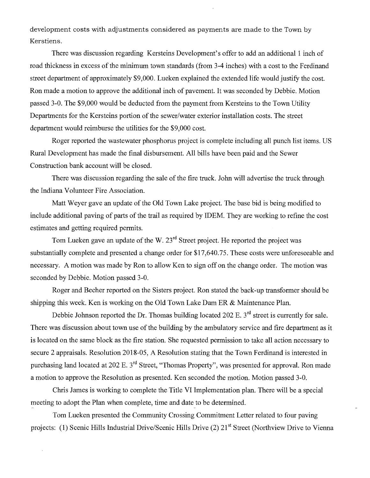development costs with adjustments considered as payments are made to the Town by Kerstiens.

There was discussion regarding Kersteins Development's offer to add an additional 1 inch of road thickness in excess of the minimum town standards (from 3-4 inches) with a cost to the Ferdinand street department of approximately \$9,000. Lueken explained the extended life would justify the cost. Ron made a motion to approve the additional inch of pavement. It was seconded by Debbie. Motion passed 3-0. The \$9,000 would be deducted from the payment from Kersteins to the Town Utility Departments for the Kersteins portion of the sewer/water exterior installation costs. The street department would reimburse the utilities for the \$9,000 cost.

Roger reported the wastewater phosphorus project is complete including all punch list items. US Rural Development has made the final disbursement. All bills have been paid and the Sewer Construction bank account will be closed.

There was discussion regarding the sale of the fire truck. John will advertise the truck through the Indiana Volunteer Fire Association.

Matt Weyer gave an update of the Old Town Lake project. The base bid is being modified to include additional paving of parts of the trail as required by IDEM. They are working to refine the cost estimates and getting required permits.

Tom Lueken gave an update of the W.  $23<sup>rd</sup>$  Street project. He reported the project was substantially complete and presented a change order for \$17,640.75. These costs were unforeseeable and necessary. A motion was made by Ron to allow Ken to sign off on the change order. The motion was seconded by Debbie. Motion passed 3-0.

Roger and Becher reported on the Sisters project. Ron stated the back-up transformer should be shipping this week. Ken is working on the Old Town Lake Dam ER & Maintenance Plan.

Debbie Johnson reported the Dr. Thomas building located 202 E.  $3<sup>rd</sup>$  street is currently for sale. There was discussion about town use of the building by the ambulatory service and fire department as it is located on the same block as the fire station. She requested permission to take all action necessary to secure 2 appraisals. Resolution 2018-05, A Resolution stating that the Town Ferdinand is interested in purchasing land located at 202 E.  $3^{rd}$  Street, "Thomas Property", was presented for approval. Ron made a motion to approve the Resolution as presented. Ken seconded the motion. Motion passed 3-0.

Chris James is working to complete the Title VI Implementation plan. There will be a special meeting to adopt the Plan when complete, time and date to be determined.

Tom Lueken presented the Community Crossing Commitment Letter related to four paving projects: (1) Scenic Hills Industrial Drive/Scenic Hills Drive (2) 21<sup>st</sup> Street (Northview Drive to Vienna